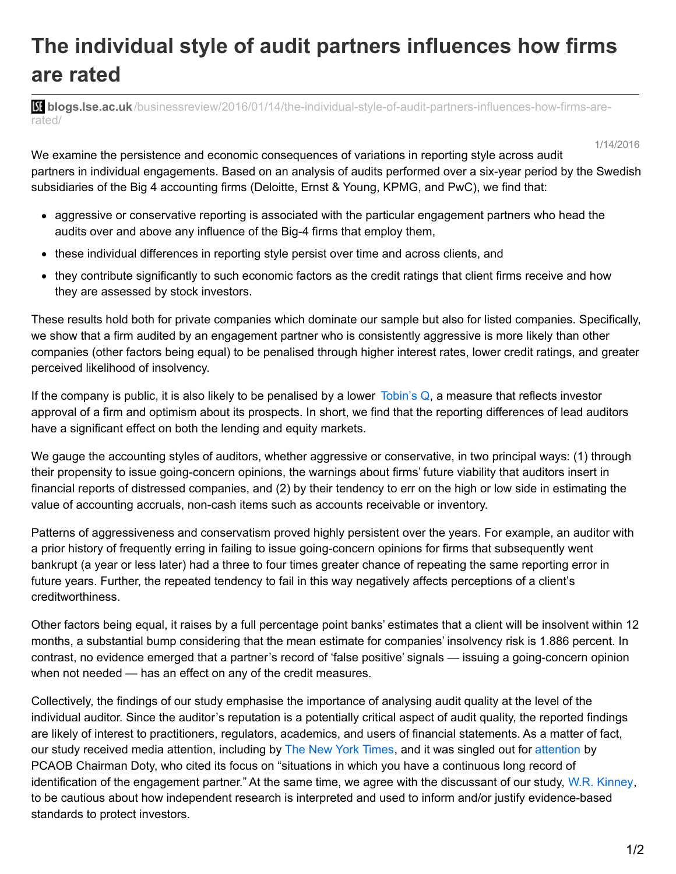## **The individual style of audit partners influences how firms are rated**

**bli blogs.lse.ac.uk**[/businessreview/2016/01/14/the-individual-style-of-audit-partners-influences-how-firms-are](http://blogs.lse.ac.uk/businessreview/2016/01/14/the-individual-style-of-audit-partners-influences-how-firms-are-rated/)rated/

1/14/2016

We examine the persistence and economic consequences of variations in reporting style across audit partners in individual engagements. Based on an analysis of audits performed over a six-year period by the Swedish subsidiaries of the Big 4 accounting firms (Deloitte, Ernst & Young, KPMG, and PwC), we find that:

- aggressive or conservative reporting is associated with the particular engagement partners who head the audits over and above any influence of the Big-4 firms that employ them,
- these individual differences in reporting style persist over time and across clients, and
- they contribute significantly to such economic factors as the credit ratings that client firms receive and how they are assessed by stock investors.

These results hold both for private companies which dominate our sample but also for listed companies. Specifically, we show that a firm audited by an engagement partner who is consistently aggressive is more likely than other companies (other factors being equal) to be penalised through higher interest rates, lower credit ratings, and greater perceived likelihood of insolvency.

If the company is public, it is also likely to be penalised by a lower  $\overline{\text{Iobin}}$ 's Q, a measure that reflects investor approval of a firm and optimism about its prospects. In short, we find that the reporting differences of lead auditors have a significant effect on both the lending and equity markets.

We gauge the accounting styles of auditors, whether aggressive or conservative, in two principal ways: (1) through their propensity to issue going-concern opinions, the warnings about firms' future viability that auditors insert in financial reports of distressed companies, and (2) by their tendency to err on the high or low side in estimating the value of accounting accruals, non-cash items such as accounts receivable or inventory.

Patterns of aggressiveness and conservatism proved highly persistent over the years. For example, an auditor with a prior history of frequently erring in failing to issue going-concern opinions for firms that subsequently went bankrupt (a year or less later) had a three to four times greater chance of repeating the same reporting error in future years. Further, the repeated tendency to fail in this way negatively affects perceptions of a client's creditworthiness.

Other factors being equal, it raises by a full percentage point banks' estimates that a client will be insolvent within 12 months, a substantial bump considering that the mean estimate for companies' insolvency risk is 1.886 percent. In contrast, no evidence emerged that a partner's record of 'false positive' signals — issuing a going-concern opinion when not needed — has an effect on any of the credit measures.

Collectively, the findings of our study emphasise the importance of analysing audit quality at the level of the individual auditor. Since the auditor's reputation is a potentially critical aspect of audit quality, the reported findings are likely of interest to practitioners, regulators, academics, and users of financial statements. As a matter of fact, our study received media attention, including by The New York [Times](http://www.nytimes.com/2013/10/25/business/in-the-accounting-world-resisting-sunlight.html?_r=0), and it was singled out for [attention](http://pcaobus.org/Rules/Rulemaking/Docket029/024d_AAA.pdf) by PCAOB Chairman Doty, who cited its focus on "situations in which you have a continuous long record of identification of the engagement partner." At the same time, we agree with the discussant of our study, W.R. [Kinney](https://www.mccombs.utexas.edu/Directory/Profiles/Kinney-William), to be cautious about how independent research is interpreted and used to inform and/or justify evidence-based standards to protect investors.